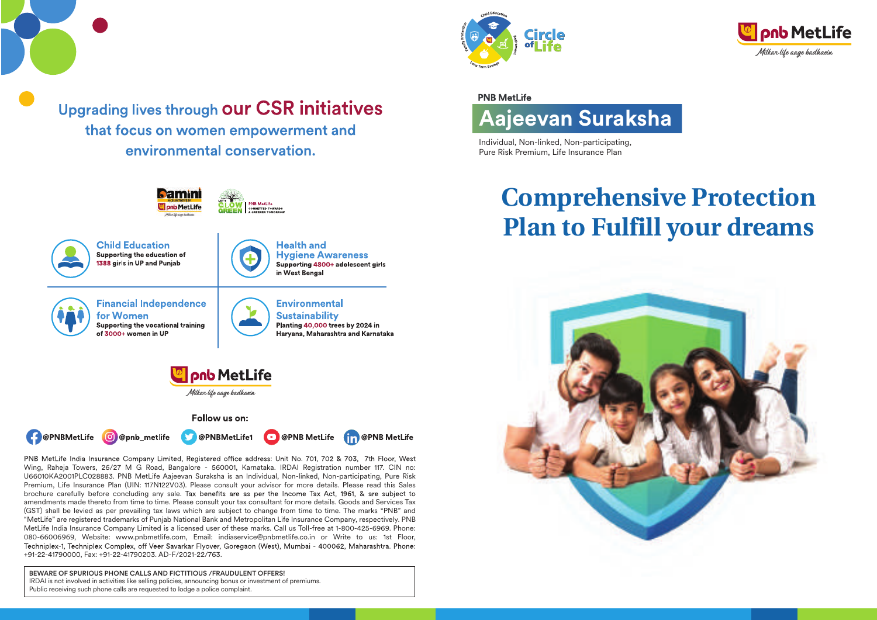

Upgrading lives through our CSR initiatives that focus on women empowerment and environmental conservation.



PNB MetLife India Insurance Company Limited, Registered office address: Unit No. 701, 702 & 703, 7th Floor, West Wing, Raheja Towers, 26/27 M G Road, Bangalore - 560001, Karnataka. IRDAI Registration number 117. CIN no: U66010KA2001PLC028883. PNB MetLife Aajeevan Suraksha is an Individual, Non-linked, Non-participating, Pure Risk Premium, Life Insurance Plan (UIN: 117N122V03). Please consult your advisor for more details. Please read this Sales brochure carefully before concluding any sale. Tax benefits are as per the Income Tax Act, 1961, & are subject to amendments made thereto from time to time. Please consult your tax consultant for more details. Goods and Services Tax (GST) shall be levied as per prevailing tax laws which are subject to change from time to time. The marks "PNB" and "MetLife" are registered trademarks of Punjab National Bank and Metropolitan Life Insurance Company, respectively. PNB MetLife India Insurance Company Limited is a licensed user of these marks. Call us Toll-free at 1-800-425-6969. Phone: 080-66006969, Website: www.pnbmetlife.com, Email: indiaservice@pnbmetlife.co.in or Write to us: 1st Floor, Techniplex-1, Techniplex Complex, off Veer Savarkar Flyover, Goregaon (West), Mumbai - 400062, Maharashtra. Phone: +91-22-41790000, Fax: +91-22-41790203. AD-F/2021-22/763.

BEWARE OF SPURIOUS PHONE CALLS AND FICTITIOUS /FRAUDULENT OFFERS! IRDAI is not involved in activities like selling policies, announcing bonus or investment of premiums. Public receiving such phone calls are requested to lodge a police complaint.





# **PNB MetLife**



Individual, Non-linked, Non-participating, Pure Risk Premium, Life Insurance Plan

# **Comprehensive Protection Plan to Fulfill your dreams**

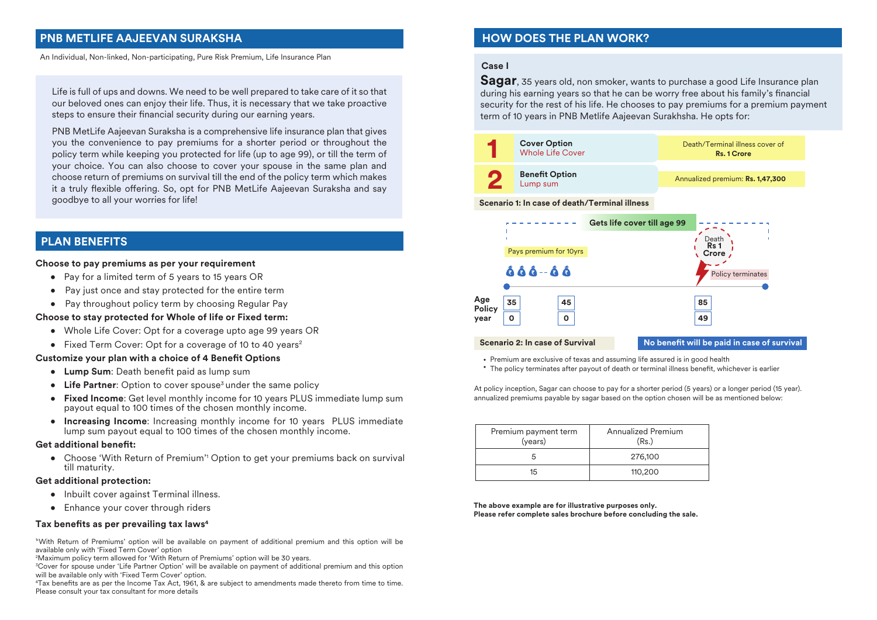# **PNB METLIFE AAJEEVAN SURAKSHA**

An Individual, Non-linked, Non-participating, Pure Risk Premium, Life Insurance Plan

Life is full of ups and downs. We need to be well prepared to take care of it so that our beloved ones can enjoy their life. Thus, it is necessary that we take proactive steps to ensure their financial security during our earning years.

PNB MetLife Aajeevan Suraksha is a comprehensive life insurance plan that gives you the convenience to pay premiums for a shorter period or throughout the policy term while keeping you protected for life (up to age 99), or till the term of your choice. You can also choose to cover your spouse in the same plan and choose return of premiums on survival till the end of the policy term which makes it a truly flexible offering. So, opt for PNB MetLife Aajeevan Suraksha and say goodbye to all your worries for life!

# **PLAN BENEFITS**

#### **Choose to pay premiums as per your requirement**

- Pay for a limited term of 5 years to 15 years OR
- Pay just once and stay protected for the entire term
- Pay throughout policy term by choosing Regular Pay

#### **Choose to stay protected for Whole of life or Fixed term:**

- Whole Life Cover: Opt for a coverage upto age 99 years OR
- Fixed Term Cover: Opt for a coverage of 10 to 40 years<sup>2</sup>

#### **Customize your plan with a choice of 4 Benefit Options**

- Lump Sum: Death benefit paid as lump sum
- Life Partner: Option to cover spouse<sup>3</sup> under the same policy
- • **Fixed Income**: Get level monthly income for 10 years PLUS immediate lump sum payout equal to 100 times of the chosen monthly income.
- **Increasing Income**: Increasing monthly income for 10 years PLUS immediate lump sum payout equal to 100 times of the chosen monthly income.

#### **Get additional benet:**

• Choose 'With Return of Premium'' Option to get your premiums back on survival till maturity.

#### **Get additional protection:**

- Inbuilt cover against Terminal illness.
- Enhance your cover through riders

#### Tax benefits as per prevailing tax laws<sup>4</sup>

1 'With Return of Premiums' option will be available on payment of additional premium and this option will be available only with 'Fixed Term Cover' option

2 Maximum policy term allowed for 'With Return of Premiums' option will be 30 years.

3 Cover for spouse under 'Life Partner Option' will be available on payment of additional premium and this option will be available only with 'Fixed Term Cover' option.

<sup>4</sup>Tax benefits are as per the Income Tax Act, 1961, & are subject to amendments made thereto from time to time. Please consult your tax consultant for more details

# **HOW DOES THE PLAN WORK?**

#### **Case I**

**Age Policy year**

**35 0**

**Scenario 2: In case of Survival**

ÂÂÂ-ÂÂ

**Sagar**, 35 years old, non smoker, wants to purchase a good Life Insurance plan during his earning years so that he can be worry free about his family's financial security for the rest of his life. He chooses to pay premiums for a premium payment term of 10 years in PNB Metlife Aajeevan Surakhsha. He opts for:



**85 49**

**No benefit will be paid in case of survival** 

Policy terminates

Premium are exclusive of texas and assuming life assured is in good health

**45 0**

• The policy terminates after payout of death or terminal illness benefit, whichever is earlier

At policy inception, Sagar can choose to pay for a shorter period (5 years) or a longer period (15 year). annualized premiums payable by sagar based on the option chosen will be as mentioned below:

| Premium payment term<br>(years) | Annualized Premium<br>(Rs.) |
|---------------------------------|-----------------------------|
|                                 | 276,100                     |
| 15                              | 110,200                     |

**The above example are for illustrative purposes only. Please refer complete sales brochure before concluding the sale.**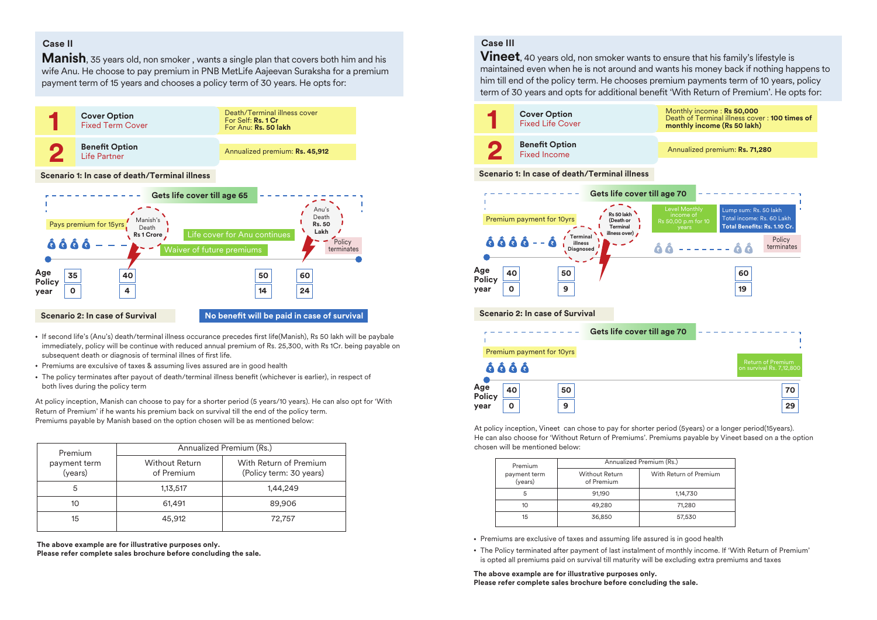#### **Case II**

**Age Policy year**

**35 0**

**Scenario 2: In case of Survival**

**Manish**, 35 years old, non smoker, wants a single plan that covers both him and his wife Anu. He choose to pay premium in PNB MetLife Aajeevan Suraksha for a premium payment term of 15 years and chooses a policy term of 30 years. He opts for:



#### immediately, policy will be continue with reduced annual premium of Rs. 25,300, with Rs 1Cr. being payable on subsequent death or diagnosis of terminal illnes of first life.

**40 4**

- Premiums are exculsive of taxes & assuming lives assured are in good health
- The policy terminates after payout of death/terminal illness benefit (whichever is earlier), in respect of both lives during the policy term

At policy inception, Manish can choose to pay for a shorter period (5 years/10 years). He can also opt for 'With Return of Premium' if he wants his premium back on survival till the end of the policy term. Premiums payable by Manish based on the option chosen will be as mentioned below:

• If second life's (Anu's) death/terminal illness occurance precedes first life(Manish), Rs 50 lakh will be paybale

**50 14**

**60 24**

**No benefit will be paid in case of survival** 

| Premium                 | Annualized Premium (Rs.)            |                                                   |  |  |  |
|-------------------------|-------------------------------------|---------------------------------------------------|--|--|--|
| payment term<br>(years) | <b>Without Return</b><br>of Premium | With Return of Premium<br>(Policy term: 30 years) |  |  |  |
| 5                       | 1,13,517                            | 1,44,249                                          |  |  |  |
| 10                      | 61,491                              | 89,906                                            |  |  |  |
| 15                      | 45,912                              | 72,757                                            |  |  |  |

**The above example are for illustrative purposes only. Please refer complete sales brochure before concluding the sale.**

# **Case III**

**Vineet**, 40 years old, non smoker wants to ensure that his family's lifestyle is maintained even when he is not around and wants his money back if nothing happens to him till end of the policy term. He chooses premium payments term of 10 years, policy term of 30 years and opts for additional benefit 'With Return of Premium'. He opts for:



At policy inception, Vineet can chose to pay for shorter period (5years) or a longer period(15years). He can also choose for 'Without Return of Premiums'. Premiums payable by Vineet based on a the option chosen will be mentioned below:

| Premium                 |                                     | Annualized Premium (Rs.) |
|-------------------------|-------------------------------------|--------------------------|
| payment term<br>(years) | <b>Without Return</b><br>of Premium | With Return of Premium   |
| 5                       | 91.190                              | 1,14,730                 |
| 10                      | 49,280                              | 71,280                   |
| 15                      | 36,850                              | 57,530                   |

- Premiums are exclusive of taxes and assuming life assured is in good health
- The Policy terminated after payment of last instalment of monthly income. If 'With Return of Premium' is opted all premiums paid on survival till maturity will be excluding extra premiums and taxes

**The above example are for illustrative purposes only. Please refer complete sales brochure before concluding the sale.**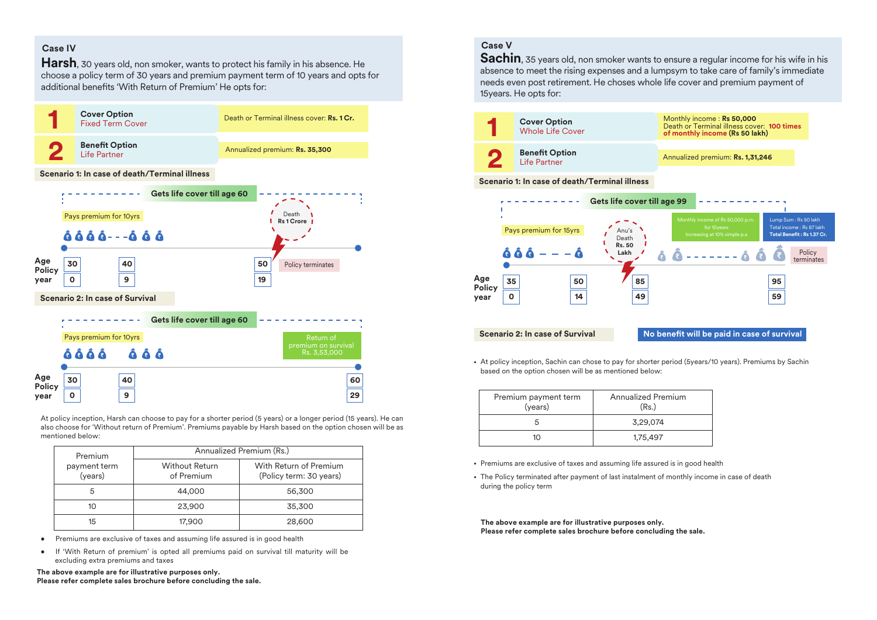# **Case IV**

**Policy year**

**0**

**9**

**Harsh**, 30 years old, non smoker, wants to protect his family in his absence. He choose a policy term of 30 years and premium payment term of 10 years and opts for additional benefits 'With Return of Premium' He opts for:



At policy inception, Harsh can choose to pay for a shorter period (5 years) or a longer period (15 years). He can also choose for 'Without return of Premium'. Premiums payable by Harsh based on the option chosen will be as mentioned below:

**29**

| Premium                 | Annualized Premium (Rs.)            |                                                   |  |  |  |
|-------------------------|-------------------------------------|---------------------------------------------------|--|--|--|
| payment term<br>(years) | <b>Without Return</b><br>of Premium | With Return of Premium<br>(Policy term: 30 years) |  |  |  |
| 5                       | 44,000                              | 56,300                                            |  |  |  |
| 10                      | 23,900                              | 35,300                                            |  |  |  |
| 15                      | 17,900                              | 28,600                                            |  |  |  |

- Premiums are exclusive of taxes and assuming life assured is in good health
- If 'With Return of premium' is opted all premiums paid on survival till maturity will be excluding extra premiums and taxes

**The above example are for illustrative purposes only. Please refer complete sales brochure before concluding the sale.**

# **Case V**

**Sachin**, 35 years old, non smoker wants to ensure a regular income for his wife in his absence to meet the rising expenses and a lumpsym to take care of family's immediate needs even post retirement. He choses whole life cover and premium payment of 15years. He opts for:





At policy inception, Sachin can chose to pay for shorter period (5years/10 years). Premiums by Sachin based on the option chosen will be as mentioned below:

| Premium payment term<br>(years) | Annualized Premium<br>(Rs.) |
|---------------------------------|-----------------------------|
| 'n                              | 3,29,074                    |
| 10                              | 1,75,497                    |

- Premiums are exclusive of taxes and assuming life assured is in good health
- The Policy terminated after payment of last instalment of monthly income in case of death during the policy term

**The above example are for illustrative purposes only. Please refer complete sales brochure before concluding the sale.**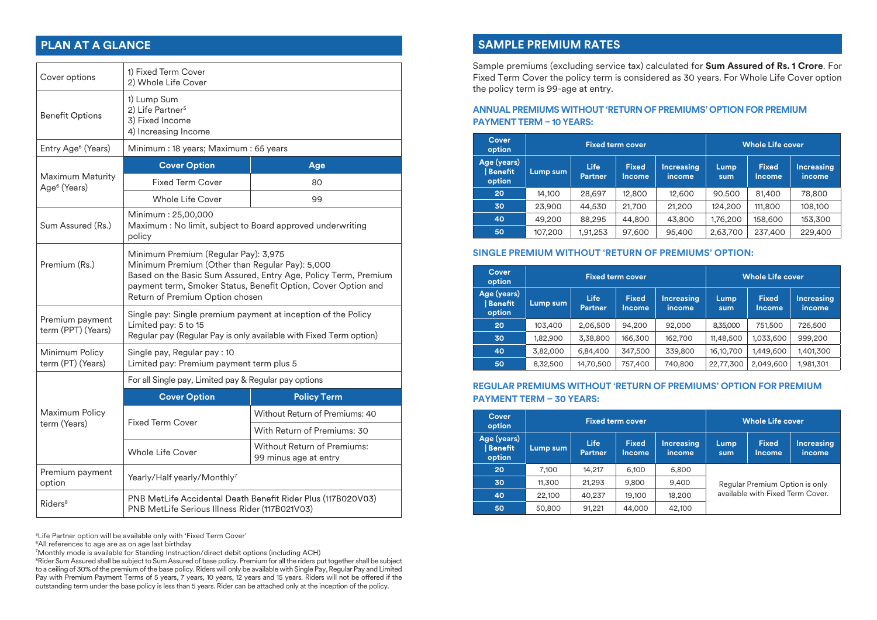| Cover options                                | 1) Fixed Term Cover<br>2) Whole Life Cover                                                                                                                                                                                                                     |                                |  |  |  |
|----------------------------------------------|----------------------------------------------------------------------------------------------------------------------------------------------------------------------------------------------------------------------------------------------------------------|--------------------------------|--|--|--|
| <b>Benefit Options</b>                       | 1) Lump Sum<br>2) Life Partner <sup>5</sup><br>3) Fixed Income<br>4) Increasing Income                                                                                                                                                                         |                                |  |  |  |
| Entry Age <sup>6</sup> (Years)               | Minimum: 18 years; Maximum: 65 years                                                                                                                                                                                                                           |                                |  |  |  |
|                                              | <b>Cover Option</b>                                                                                                                                                                                                                                            | Age                            |  |  |  |
| Maximum Maturity<br>Age <sup>6</sup> (Years) | <b>Fixed Term Cover</b>                                                                                                                                                                                                                                        | 80                             |  |  |  |
|                                              | <b>Whole Life Cover</b>                                                                                                                                                                                                                                        | 99                             |  |  |  |
| Sum Assured (Rs.)                            | Minimum: 25,00,000<br>Maximum : No limit, subject to Board approved underwriting<br>policy                                                                                                                                                                     |                                |  |  |  |
| Premium (Rs.)                                | Minimum Premium (Regular Pay): 3,975<br>Minimum Premium (Other than Regular Pay): 5,000<br>Based on the Basic Sum Assured, Entry Age, Policy Term, Premium<br>payment term, Smoker Status, Benefit Option, Cover Option and<br>Return of Premium Option chosen |                                |  |  |  |
| Premium payment<br>term (PPT) (Years)        | Single pay: Single premium payment at inception of the Policy<br>Limited pay: 5 to 15<br>Regular pay (Regular Pay is only available with Fixed Term option)                                                                                                    |                                |  |  |  |
| Minimum Policy<br>term (PT) (Years)          | Single pay, Regular pay: 10<br>Limited pay: Premium payment term plus 5                                                                                                                                                                                        |                                |  |  |  |
|                                              | For all Single pay, Limited pay & Regular pay options                                                                                                                                                                                                          |                                |  |  |  |
|                                              | <b>Cover Option</b>                                                                                                                                                                                                                                            | <b>Policy Term</b>             |  |  |  |
| Maximum Policy                               |                                                                                                                                                                                                                                                                | Without Return of Premiums: 40 |  |  |  |
| term (Years)                                 | <b>Fixed Term Cover</b>                                                                                                                                                                                                                                        | With Return of Premiums: 30    |  |  |  |
|                                              | <b>Without Return of Premiums:</b><br><b>Whole Life Cover</b><br>99 minus age at entry                                                                                                                                                                         |                                |  |  |  |
| Premium payment<br>option                    | Yearly/Half yearly/Monthly7                                                                                                                                                                                                                                    |                                |  |  |  |
| Riders <sup>8</sup>                          | PNB MetLife Accidental Death Benefit Rider Plus (117B020V03)<br>PNB MetLife Serious Illness Rider (117B021V03)                                                                                                                                                 |                                |  |  |  |

5 Life Partner option will be available only with 'Fixed Term Cover'

<sup>6</sup>All references to age are as on age last birthday

7 Monthly mode is available for Standing Instruction/direct debit options (including ACH)

8 Rider Sum Assured shall be subject to Sum Assured of base policy. Premium for all the riders put together shall be subject to a ceiling of 30% of the premium of the base policy. Riders will only be available with Single Pay, Regular Pay and Limited Pay with Premium Payment Terms of 5 years, 7 years, 10 years, 12 years and 15 years. Riders will not be offered if the outstanding term under the base policy is less than 5 years. Rider can be attached only at the inception of the policy.

# **PLAN AT A GLANCE SAMPLE PREMIUM RATES**

Sample premiums (excluding service tax) calculated for **Sum Assured of Rs. 1 Crore**. For Fixed Term Cover the policy term is considered as 30 years. For Whole Life Cover option the policy term is 99-age at entry.

#### **ANNUAL PREMIUMS WITHOUT 'RETURN OF PREMIUMS' OPTION FOR PREMIUM PAYMENT TERM – 10 YEARS:**

| <b>Cover</b><br>option           | <b>Fixed term cover</b> |                        |                        |                             |              | <b>Whole Life cover</b> |                       |
|----------------------------------|-------------------------|------------------------|------------------------|-----------------------------|--------------|-------------------------|-----------------------|
| Age (years)<br>Benefit<br>option | Lump sum                | Life<br><b>Partner</b> | <b>Fixed</b><br>Income | <b>Increasing</b><br>income | Lump,<br>sum | <b>Fixed</b><br>Income. | Increasing<br>income. |
| 20                               | 14,100                  | 28,697                 | 12,800                 | 12,600                      | 90.500       | 81,400                  | 78,800                |
| 30                               | 23,900                  | 44.530                 | 21,700                 | 21,200                      | 124,200      | 111,800                 | 108,100               |
| 40                               | 49,200                  | 88,295                 | 44,800                 | 43,800                      | 1,76,200     | 158,600                 | 153,300               |
| 50                               | 107,200                 | 1,91,253               | 97,600                 | 95,400                      | 2,63,700     | 237,400                 | 229,400               |

#### **SINGLE PREMIUM WITHOUT 'RETURN OF PREMIUMS' OPTION:**

| <b>Cover</b><br>option             | <b>Fixed term cover</b> |                               |                        |                             | <b>Whole Life cover</b> |                        |                             |
|------------------------------------|-------------------------|-------------------------------|------------------------|-----------------------------|-------------------------|------------------------|-----------------------------|
| Age (years)<br>  Benefit<br>option | Lump sum                | <b>Life</b><br><b>Partner</b> | <b>Fixed</b><br>Income | <b>Increasing</b><br>income | Lump<br>sum             | <b>Fixed</b><br>Income | <b>Increasing</b><br>income |
| 20                                 | 103,400                 | 2,06,500                      | 94,200                 | 92,000                      | 8,35,000                | 751,500                | 726,500                     |
| 30                                 | 1,82,900                | 3,38,800                      | 166,300                | 162,700                     | 11,48,500               | 1,033,600              | 999,200                     |
| 40                                 | 3,82,000                | 6,84,400                      | 347,500                | 339,800                     | 16, 10, 700             | 1,449,600              | 1,401,300                   |
| 50                                 | 8,32,500                | 14,70,500                     | 757,400                | 740,800                     | 22,77,300               | 2,049,600              | 1,981,301                   |

#### **REGULAR PREMIUMS WITHOUT 'RETURN OF PREMIUMS' OPTION FOR PREMIUM PAYMENT TERM – 30 YEARS:**

| Cover<br>option                  | <b>Fixed term cover</b> |                               |                               |                             | Whole Life cover                                                   |                        |                             |
|----------------------------------|-------------------------|-------------------------------|-------------------------------|-----------------------------|--------------------------------------------------------------------|------------------------|-----------------------------|
| Age (years)<br>Benefit<br>option | Lump sum                | <b>Life</b><br><b>Partner</b> | <b>Fixed</b><br><b>Income</b> | <b>Increasing</b><br>income | Lump<br>sum                                                        | <b>Fixed</b><br>Income | <b>Increasing</b><br>income |
| 20                               | 7,100                   | 14.217                        | 6,100                         | 5,800                       |                                                                    |                        |                             |
| 30                               | 11.300                  | 21.293                        | 9,800                         | 9,400                       | Regular Premium Option is only<br>available with Fixed Term Cover. |                        |                             |
| 40                               | 22,100                  | 40.237                        | 19,100                        | 18,200                      |                                                                    |                        |                             |
| 50                               | 50,800                  | 91,221                        | 44,000                        | 42,100                      |                                                                    |                        |                             |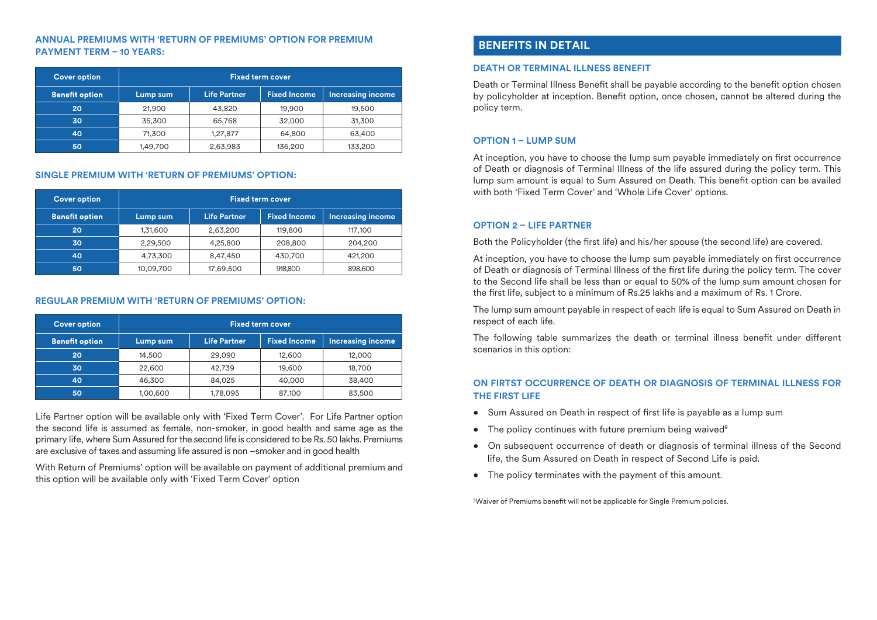#### **ANNUAL PREMIUMS WITH 'RETURN OF PREMIUMS' OPTION FOR PREMIUM PAYMENT TERM – 10 YEARS:**

| <b>Cover option</b>   | <b>Fixed term cover.</b> |                     |                     |                          |  |  |  |
|-----------------------|--------------------------|---------------------|---------------------|--------------------------|--|--|--|
| <b>Benefit option</b> | Lump sum                 | <b>Life Partner</b> | <b>Fixed Income</b> | <b>Increasing income</b> |  |  |  |
| 20                    | 21,900                   | 43.820              | 19,900              | 19,500                   |  |  |  |
| 30                    | 35,300                   | 65,768              | 32,000              | 31,300                   |  |  |  |
| 40                    | 71,300                   | 1,27,877            | 64,800              | 63,400                   |  |  |  |
| 50                    | 1,49,700                 | 2,63,983            | 136,200             | 133,200                  |  |  |  |

#### **SINGLE PREMIUM WITH 'RETURN OF PREMIUMS' OPTION:**

| <b>Cover option</b>   | <b>Fixed term cover</b> |                     |                     |                          |  |  |  |
|-----------------------|-------------------------|---------------------|---------------------|--------------------------|--|--|--|
| <b>Benefit option</b> | Lump sum                | <b>Life Partner</b> | <b>Fixed Income</b> | <b>Increasing income</b> |  |  |  |
| 20                    | 1,31,600                | 2,63,200            | 119,800             | 117,100                  |  |  |  |
| 30                    | 2,29,500                | 4,25,800            | 208,800             | 204,200                  |  |  |  |
| 40                    | 4,73,300                | 8,47,450            | 430,700             | 421,200                  |  |  |  |
| 50                    | 10,09,700               | 17,69,500           | 918,800             | 898,600                  |  |  |  |

#### **REGULAR PREMIUM WITH 'RETURN OF PREMIUMS' OPTION:**

| <b>Cover option</b>   | <b>Fixed term cover</b> |                     |                     |                          |  |  |  |
|-----------------------|-------------------------|---------------------|---------------------|--------------------------|--|--|--|
| <b>Benefit option</b> | Lump sum                | <b>Life Partner</b> | <b>Fixed Income</b> | <b>Increasing income</b> |  |  |  |
| 20                    | 14,500                  | 29,090              | 12,600              | 12,000                   |  |  |  |
| 30                    | 22,600                  | 42,739              | 19,600              | 18,700                   |  |  |  |
| 40                    | 46,300                  | 84.025              | 40,000              | 38,400                   |  |  |  |
| 50                    | 1,00,600                | 1,78,095            | 87,100              | 83,500                   |  |  |  |

Life Partner option will be available only with 'Fixed Term Cover'. For Life Partner option the second life is assumed as female, non-smoker, in good health and same age as the primary life, where Sum Assured for the second life is considered to be Rs. 50 lakhs. Premiums are exclusive of taxes and assuming life assured is non –smoker and in good health

With Return of Premiums' option will be available on payment of additional premium and this option will be available only with 'Fixed Term Cover' option

# **BENEFITS IN DETAIL**

#### **DEATH OR TERMINAL ILLNESS BENEFIT**

Death or Terminal Illness Benefit shall be payable according to the benefit option chosen by policyholder at inception. Benefit option, once chosen, cannot be altered during the policy term.

# **OPTION 1 – LUMP SUM**

At inception, you have to choose the lump sum payable immediately on first occurrence of Death or diagnosis of Terminal Illness of the life assured during the policy term. This lump sum amount is equal to Sum Assured on Death. This benefit option can be availed with both 'Fixed Term Cover' and 'Whole Life Cover' options.

### **OPTION 2 – LIFE PARTNER**

Both the Policyholder (the first life) and his/her spouse (the second life) are covered.

At inception, you have to choose the lump sum payable immediately on first occurrence of Death or diagnosis of Terminal Illness of the first life during the policy term. The cover to the Second life shall be less than or equal to 50% of the lump sum amount chosen for the first life, subject to a minimum of Rs.25 lakhs and a maximum of Rs. 1 Crore.

The lump sum amount payable in respect of each life is equal to Sum Assured on Death in respect of each life.

The following table summarizes the death or terminal illness benefit under different scenarios in this option:

# **ON FIRTST OCCURRENCE OF DEATH OR DIAGNOSIS OF TERMINAL ILLNESS FOR THE FIRST LIFE**

- Sum Assured on Death in respect of first life is payable as a lump sum
- The policy continues with future premium being waived<sup>9</sup>
- On subsequent occurrence of death or diagnosis of terminal illness of the Second life, the Sum Assured on Death in respect of Second Life is paid.
- The policy terminates with the payment of this amount.

<sup>9</sup>Waiver of Premiums benefit will not be applicable for Single Premium policies.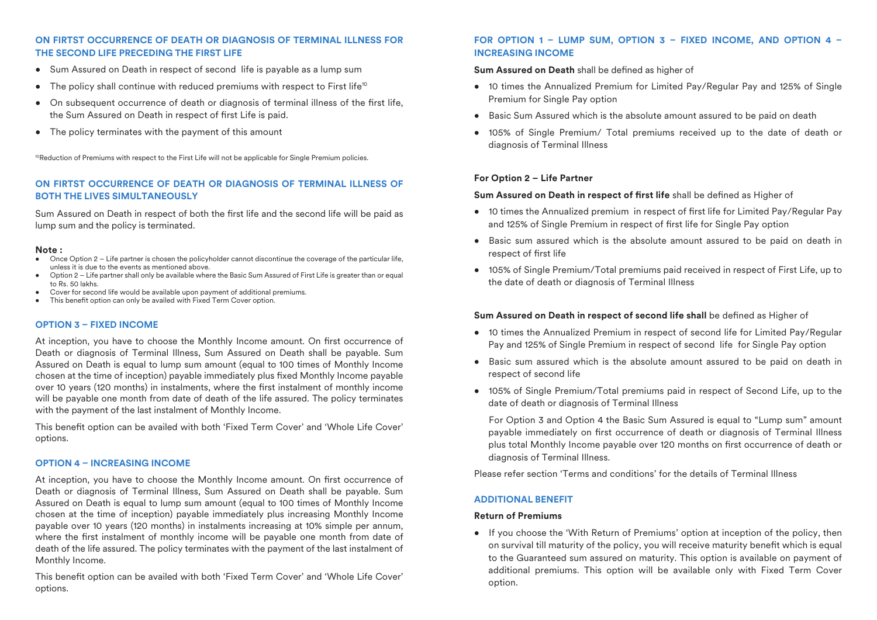#### **ON FIRTST OCCURRENCE OF DEATH OR DIAGNOSIS OF TERMINAL ILLNESS FOR THE SECOND LIFE PRECEDING THE FIRST LIFE**

- Sum Assured on Death in respect of second life is payable as a lump sum
- The policy shall continue with reduced premiums with respect to First life<sup>10</sup>
- On subsequent occurrence of death or diagnosis of terminal illness of the first life, the Sum Assured on Death in respect of first Life is paid.
- The policy terminates with the payment of this amount

<sup>10</sup>Reduction of Premiums with respect to the First Life will not be applicable for Single Premium policies.

## **ON FIRTST OCCURRENCE OF DEATH OR DIAGNOSIS OF TERMINAL ILLNESS OF BOTH THE LIVES SIMULTANEOUSLY**

Sum Assured on Death in respect of both the first life and the second life will be paid as lump sum and the policy is terminated.

#### **Note :**

- Once Option 2 Life partner is chosen the policyholder cannot discontinue the coverage of the particular life, unless it is due to the events as mentioned above.
- Option 2 Life partner shall only be available where the Basic Sum Assured of First Life is greater than or equal to Rs. 50 lakhs.
- Cover for second life would be available upon payment of additional premiums.
- $\bullet$  This benefit option can only be availed with Fixed Term Cover option.

#### **OPTION 3 – FIXED INCOME**

At inception, you have to choose the Monthly Income amount. On first occurrence of Death or diagnosis of Terminal Illness, Sum Assured on Death shall be payable. Sum Assured on Death is equal to lump sum amount (equal to 100 times of Monthly Income chosen at the time of inception) payable immediately plus fixed Monthly Income payable over 10 years (120 months) in instalments, where the first instalment of monthly income will be payable one month from date of death of the life assured. The policy terminates with the payment of the last instalment of Monthly Income.

This benefit option can be availed with both 'Fixed Term Cover' and 'Whole Life Cover' options.

#### **OPTION 4 – INCREASING INCOME**

At inception, you have to choose the Monthly Income amount. On first occurrence of Death or diagnosis of Terminal Illness, Sum Assured on Death shall be payable. Sum Assured on Death is equal to lump sum amount (equal to 100 times of Monthly Income chosen at the time of inception) payable immediately plus increasing Monthly Income payable over 10 years (120 months) in instalments increasing at 10% simple per annum, where the first instalment of monthly income will be payable one month from date of death of the life assured. The policy terminates with the payment of the last instalment of Monthly Income.

This benefit option can be availed with both 'Fixed Term Cover' and 'Whole Life Cover' options.

#### **FOR OPTION 1 – LUMP SUM, OPTION 3 – FIXED INCOME, AND OPTION 4 – INCREASING INCOME**

**Sum Assured on Death** shall be defined as higher of

- 10 times the Annualized Premium for Limited Pay/Regular Pay and 125% of Single Premium for Single Pay option
- Basic Sum Assured which is the absolute amount assured to be paid on death
- 105% of Single Premium/ Total premiums received up to the date of death or diagnosis of Terminal Illness

#### **For Option 2 – Life Partner**

#### **Sum Assured on Death in respect of first life** shall be defined as Higher of

- 10 times the Annualized premium in respect of first life for Limited Pay/Regular Pay and 125% of Single Premium in respect of first life for Single Pay option
- Basic sum assured which is the absolute amount assured to be paid on death in respect of first life
- 105% of Single Premium/Total premiums paid received in respect of First Life, up to the date of death or diagnosis of Terminal Illness

#### Sum Assured on Death in respect of second life shall be defined as Higher of

- 10 times the Annualized Premium in respect of second life for Limited Pay/Regular Pay and 125% of Single Premium in respect of second life for Single Pay option
- Basic sum assured which is the absolute amount assured to be paid on death in respect of second life
- 105% of Single Premium/Total premiums paid in respect of Second Life, up to the date of death or diagnosis of Terminal Illness

 For Option 3 and Option 4 the Basic Sum Assured is equal to "Lump sum" amount payable immediately on first occurrence of death or diagnosis of Terminal Illness plus total Monthly Income payable over 120 months on first occurrence of death or diagnosis of Terminal Illness.

Please refer section 'Terms and conditions' for the details of Terminal Illness

#### **ADDITIONAL BENEFIT**

#### **Return of Premiums**

• If you choose the 'With Return of Premiums' option at inception of the policy, then on survival till maturity of the policy, you will receive maturity benefit which is equal to the Guaranteed sum assured on maturity. This option is available on payment of additional premiums. This option will be available only with Fixed Term Cover option.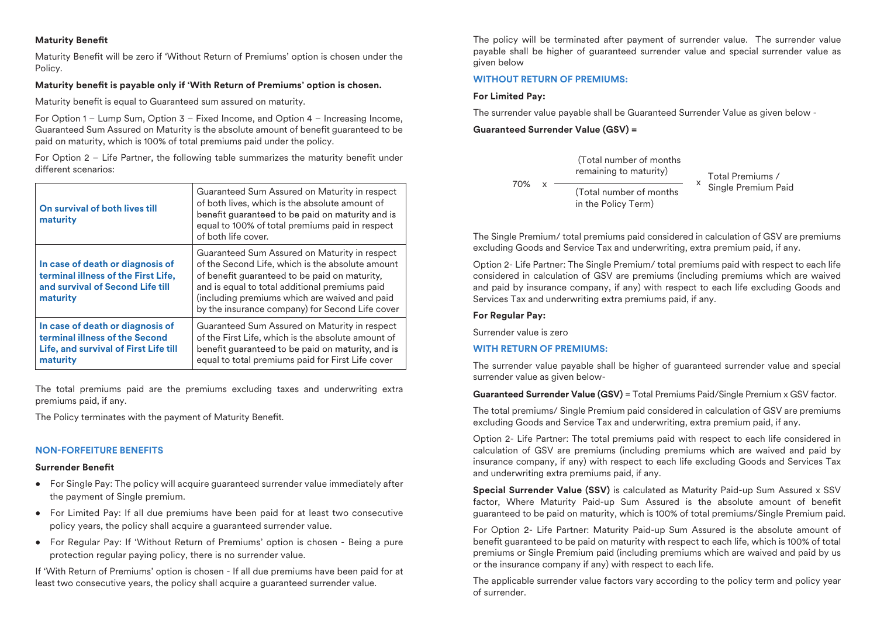### **Maturity Benefit**

Maturity Benefit will be zero if 'Without Return of Premiums' option is chosen under the Policy.

#### **Maturity benefit is payable only if 'With Return of Premiums' option is chosen.**

Maturity benefit is equal to Guaranteed sum assured on maturity.

For Option 1 – Lump Sum, Option 3 – Fixed Income, and Option 4 – Increasing Income, Guaranteed Sum Assured on Maturity is the absolute amount of benefit guaranteed to be paid on maturity, which is 100% of total premiums paid under the policy.

For Option  $2 -$  Life Partner, the following table summarizes the maturity benefit under different scenarios:

| On survival of both lives till<br>maturity                                                                              | Guaranteed Sum Assured on Maturity in respect<br>of both lives, which is the absolute amount of<br>benefit guaranteed to be paid on maturity and is<br>equal to 100% of total premiums paid in respect<br>of both life cover.                                                                            |
|-------------------------------------------------------------------------------------------------------------------------|----------------------------------------------------------------------------------------------------------------------------------------------------------------------------------------------------------------------------------------------------------------------------------------------------------|
| In case of death or diagnosis of<br>terminal illness of the First Life,<br>and survival of Second Life till<br>maturity | Guaranteed Sum Assured on Maturity in respect<br>of the Second Life, which is the absolute amount<br>of benefit quaranteed to be paid on maturity,<br>and is equal to total additional premiums paid<br>(including premiums which are waived and paid<br>by the insurance company) for Second Life cover |
| In case of death or diagnosis of<br>terminal illness of the Second<br>Life, and survival of First Life till<br>maturity | Guaranteed Sum Assured on Maturity in respect<br>of the First Life, which is the absolute amount of<br>benefit guaranteed to be paid on maturity, and is<br>equal to total premiums paid for First Life cover                                                                                            |

The total premiums paid are the premiums excluding taxes and underwriting extra premiums paid, if any.

The Policy terminates with the payment of Maturity Benefit.

### **NON-FORFEITURE BENEFITS**

#### **Surrender Benefit**

- For Single Pay: The policy will acquire guaranteed surrender value immediately after the payment of Single premium.
- For Limited Pay: If all due premiums have been paid for at least two consecutive policy years, the policy shall acquire a guaranteed surrender value.
- For Regular Pay: If 'Without Return of Premiums' option is chosen Being a pure protection regular paying policy, there is no surrender value.

If 'With Return of Premiums' option is chosen - If all due premiums have been paid for at least two consecutive years, the policy shall acquire a guaranteed surrender value.

The policy will be terminated after payment of surrender value. The surrender value payable shall be higher of guaranteed surrender value and special surrender value as given below

#### **WITHOUT RETURN OF PREMIUMS:**

#### **For Limited Pay:**

The surrender value payable shall be Guaranteed Surrender Value as given below -

#### **Guaranteed Surrender Value (GSV) =**



The Single Premium/ total premiums paid considered in calculation of GSV are premiums excluding Goods and Service Tax and underwriting, extra premium paid, if any.

Option 2- Life Partner: The Single Premium/ total premiums paid with respect to each life considered in calculation of GSV are premiums (including premiums which are waived and paid by insurance company, if any) with respect to each life excluding Goods and Services Tax and underwriting extra premiums paid, if any.

#### **For Regular Pay:**

Surrender value is zero

### **WITH RETURN OF PREMIUMS:**

The surrender value payable shall be higher of guaranteed surrender value and special surrender value as given below-

**Guaranteed Surrender Value (GSV)** = Total Premiums Paid/Single Premium x GSV factor.

The total premiums/ Single Premium paid considered in calculation of GSV are premiums excluding Goods and Service Tax and underwriting, extra premium paid, if any.

Option 2- Life Partner: The total premiums paid with respect to each life considered in calculation of GSV are premiums (including premiums which are waived and paid by insurance company, if any) with respect to each life excluding Goods and Services Tax and underwriting extra premiums paid, if any.

**Special Surrender Value (SSV)** is calculated as Maturity Paid-up Sum Assured x SSV factor. Where Maturity Paid-up Sum Assured is the absolute amount of benefit guaranteed to be paid on maturity, which is 100% of total premiums/Single Premium paid.

For Option 2- Life Partner: Maturity Paid-up Sum Assured is the absolute amount of benefit guaranteed to be paid on maturity with respect to each life, which is 100% of total premiums or Single Premium paid (including premiums which are waived and paid by us or the insurance company if any) with respect to each life.

The applicable surrender value factors vary according to the policy term and policy year of surrender.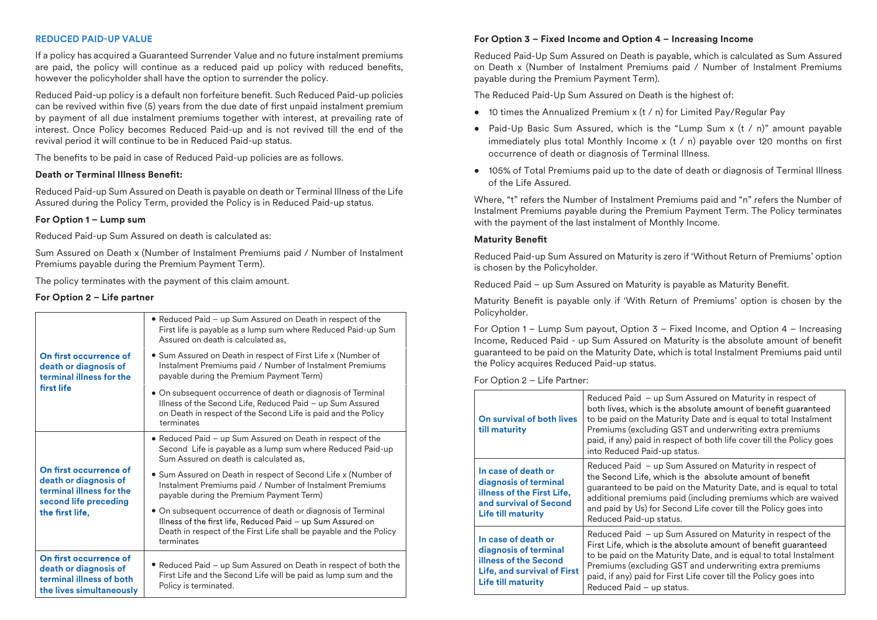#### **REDUCED PAID-UP VALUE**

If a policy has acquired a Guaranteed Surrender Value and no future instalment premiums are paid, the policy will continue as a reduced paid up policy with reduced benefits, however the policyholder shall have the option to surrender the policy.

Reduced Paid-up policy is a default non forfeiture benefit. Such Reduced Paid-up policies can be revived within five (5) years from the due date of first unpaid instalment premium by payment of all due instalment premiums together with interest, at prevailing rate of interest. Once Policy becomes Reduced Paid-up and is not revived till the end of the revival period it will continue to be in Reduced Paid-up status.

The benefits to be paid in case of Reduced Paid-up policies are as follows.

#### **Death or Terminal Illness Benet:**

Reduced Paid-up Sum Assured on Death is payable on death or Terminal Illness of the Life Assured during the Policy Term, provided the Policy is in Reduced Paid-up status.

#### **For Option 1 – Lump sum**

Reduced Paid-up Sum Assured on death is calculated as:

Sum Assured on Death x (Number of Instalment Premiums paid / Number of Instalment Premiums payable during the Premium Payment Term).

The policy terminates with the payment of this claim amount.

#### **For Option 2 – Life partner**

| On first occurrence of<br>death or diagnosis of<br>terminal illness for the<br>first life                               | • Reduced Paid – up Sum Assured on Death in respect of the<br>First life is payable as a lump sum where Reduced Paid-up Sum<br>Assured on death is calculated as.                                               |
|-------------------------------------------------------------------------------------------------------------------------|-----------------------------------------------------------------------------------------------------------------------------------------------------------------------------------------------------------------|
|                                                                                                                         | • Sum Assured on Death in respect of First Life x (Number of<br>Instalment Premiums paid / Number of Instalment Premiums<br>payable during the Premium Payment Term)                                            |
|                                                                                                                         | • On subsequent occurrence of death or diagnosis of Terminal<br>Illness of the Second Life, Reduced Paid - up Sum Assured<br>on Death in respect of the Second Life is paid and the Policy<br>terminates        |
| On first occurrence of<br>death or diagnosis of<br>terminal illness for the<br>second life preceding<br>the first life, | • Reduced Paid - up Sum Assured on Death in respect of the<br>Second Life is payable as a lump sum where Reduced Paid-up<br>Sum Assured on death is calculated as,                                              |
|                                                                                                                         | • Sum Assured on Death in respect of Second Life x (Number of<br>Instalment Premiums paid / Number of Instalment Premiums<br>payable during the Premium Payment Term)                                           |
|                                                                                                                         | • On subsequent occurrence of death or diagnosis of Terminal<br>Illness of the first life, Reduced Paid - up Sum Assured on<br>Death in respect of the First Life shall be payable and the Policy<br>terminates |
| On first occurrence of<br>death or diagnosis of<br>terminal illness of both<br>the lives simultaneously                 | • Reduced Paid – up Sum Assured on Death in respect of both the<br>First Life and the Second Life will be paid as lump sum and the<br>Policy is terminated.                                                     |

# **For Option 3 – Fixed Income and Option 4 – Increasing Income**

Reduced Paid-Up Sum Assured on Death is payable, which is calculated as Sum Assured on Death x (Number of Instalment Premiums paid / Number of Instalment Premiums payable during the Premium Payment Term).

The Reduced Paid-Up Sum Assured on Death is the highest of:

- 10 times the Annualized Premium x (t / n) for Limited Pay/Regular Pay
- Paid-Up Basic Sum Assured, which is the "Lump Sum x (t / n)" amount payable immediately plus total Monthly Income  $x$  (t / n) payable over 120 months on first occurrence of death or diagnosis of Terminal Illness.
- 105% of Total Premiums paid up to the date of death or diagnosis of Terminal Illness of the Life Assured.

Where, "t" refers the Number of Instalment Premiums paid and "n" refers the Number of Instalment Premiums payable during the Premium Payment Term. The Policy terminates with the payment of the last instalment of Monthly Income.

#### **Maturity Benefit**

Reduced Paid-up Sum Assured on Maturity is zero if 'Without Return of Premiums' option is chosen by the Policyholder.

Reduced Paid – up Sum Assured on Maturity is payable as Maturity Benefit.

Maturity Benefit is payable only if 'With Return of Premiums' option is chosen by the Policyholder.

For Option 1 – Lump Sum payout, Option 3 – Fixed Income, and Option 4 – Increasing Income, Reduced Paid - up Sum Assured on Maturity is the absolute amount of benet guaranteed to be paid on the Maturity Date, which is total Instalment Premiums paid until the Policy acquires Reduced Paid-up status.

For Option 2 – Life Partner:

| On survival of both lives<br>till maturity                                                                                                      | Reduced Paid - up Sum Assured on Maturity in respect of<br>both lives, which is the absolute amount of benefit guaranteed<br>to be paid on the Maturity Date and is equal to total Instalment<br>Premiums (excluding GST and underwriting extra premiums<br>paid, if any) paid in respect of both life cover till the Policy goes<br>into Reduced Paid-up status. |
|-------------------------------------------------------------------------------------------------------------------------------------------------|-------------------------------------------------------------------------------------------------------------------------------------------------------------------------------------------------------------------------------------------------------------------------------------------------------------------------------------------------------------------|
| In case of death or<br>diagnosis of terminal<br>illness of the First Life,<br>and survival of Second<br><b>Life till maturity</b>               | Reduced Paid - up Sum Assured on Maturity in respect of<br>the Second Life, which is the absolute amount of benefit<br>guaranteed to be paid on the Maturity Date, and is equal to total<br>additional premiums paid (including premiums which are waived<br>and paid by Us) for Second Life cover till the Policy goes into<br>Reduced Paid-up status.           |
| In case of death or<br>diagnosis of terminal<br><b>illness of the Second</b><br><b>Life, and survival of First</b><br><b>Life till maturity</b> | Reduced Paid - up Sum Assured on Maturity in respect of the<br>First Life, which is the absolute amount of benefit guaranteed<br>to be paid on the Maturity Date, and is equal to total Instalment<br>Premiums (excluding GST and underwriting extra premiums<br>paid, if any) paid for First Life cover till the Policy goes into<br>Reduced Paid - up status.   |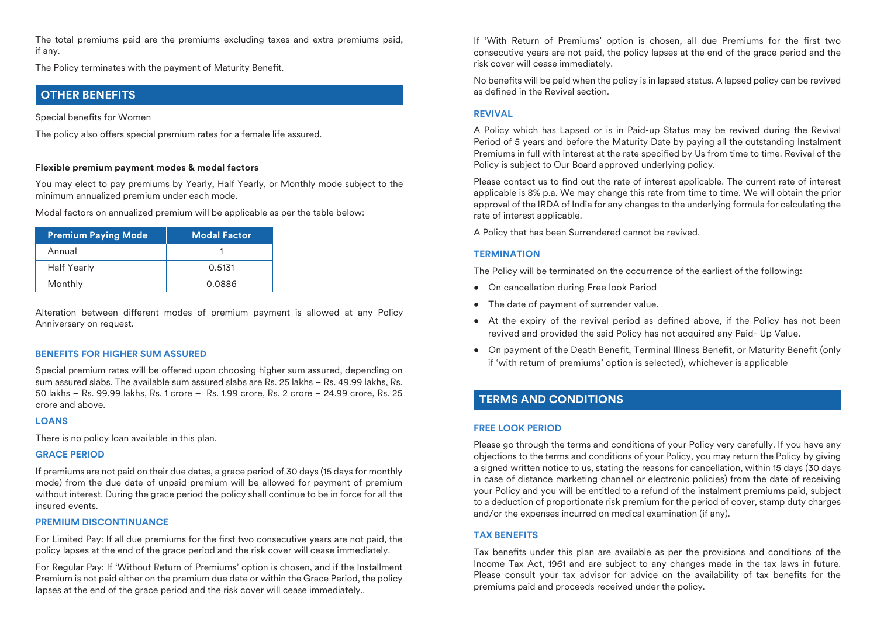The total premiums paid are the premiums excluding taxes and extra premiums paid, if any.

The Policy terminates with the payment of Maturity Benefit.

# **OTHER BENEFITS**

Special benefits for Women

The policy also offers special premium rates for a female life assured.

#### **Flexible premium payment modes & modal factors**

You may elect to pay premiums by Yearly, Half Yearly, or Monthly mode subject to the minimum annualized premium under each mode.

Modal factors on annualized premium will be applicable as per the table below:

| <b>Premium Paying Mode</b> | <b>Modal Factor</b> |
|----------------------------|---------------------|
| Annual                     |                     |
| <b>Half Yearly</b>         | 0.5131              |
| Monthly                    | 0.0886              |

Alteration between different modes of premium payment is allowed at any Policy Anniversary on request.

#### **BENEFITS FOR HIGHER SUM ASSURED**

Special premium rates will be offered upon choosing higher sum assured, depending on sum assured slabs. The available sum assured slabs are Rs. 25 lakhs – Rs. 49.99 lakhs, Rs. 50 lakhs – Rs. 99.99 lakhs, Rs. 1 crore – Rs. 1.99 crore, Rs. 2 crore – 24.99 crore, Rs. 25 crore and above.

#### **LOANS**

There is no policy loan available in this plan.

#### **GRACE PERIOD**

If premiums are not paid on their due dates, a grace period of 30 days (15 days for monthly mode) from the due date of unpaid premium will be allowed for payment of premium without interest. During the grace period the policy shall continue to be in force for all the insured events.

#### **PREMIUM DISCONTINUANCE**

For Limited Pay: If all due premiums for the first two consecutive years are not paid, the policy lapses at the end of the grace period and the risk cover will cease immediately.

For Regular Pay: If 'Without Return of Premiums' option is chosen, and if the Installment Premium is not paid either on the premium due date or within the Grace Period, the policy lapses at the end of the grace period and the risk cover will cease immediately..

If 'With Return of Premiums' option is chosen, all due Premiums for the first two consecutive years are not paid, the policy lapses at the end of the grace period and the risk cover will cease immediately.

No benefits will be paid when the policy is in lapsed status. A lapsed policy can be revived as defined in the Revival section

#### **REVIVAL**

A Policy which has Lapsed or is in Paid-up Status may be revived during the Revival Period of 5 years and before the Maturity Date by paying all the outstanding Instalment Premiums in full with interest at the rate specified by Us from time to time. Revival of the Policy is subject to Our Board approved underlying policy.

Please contact us to find out the rate of interest applicable. The current rate of interest applicable is 8% p.a. We may change this rate from time to time. We will obtain the prior approval of the IRDA of India for any changes to the underlying formula for calculating the rate of interest applicable.

A Policy that has been Surrendered cannot be revived.

#### **TERMINATION**

The Policy will be terminated on the occurrence of the earliest of the following:

- On cancellation during Free look Period
- The date of payment of surrender value.
- $\bullet$  At the expiry of the revival period as defined above, if the Policy has not been revived and provided the said Policy has not acquired any Paid- Up Value.
- On payment of the Death Benefit, Terminal Illness Benefit, or Maturity Benefit (only if 'with return of premiums' option is selected), whichever is applicable

# **TERMS AND CONDITIONS**

#### **FREE LOOK PERIOD**

Please go through the terms and conditions of your Policy very carefully. If you have any objections to the terms and conditions of your Policy, you may return the Policy by giving a signed written notice to us, stating the reasons for cancellation, within 15 days (30 days in case of distance marketing channel or electronic policies) from the date of receiving your Policy and you will be entitled to a refund of the instalment premiums paid, subject to a deduction of proportionate risk premium for the period of cover, stamp duty charges and/or the expenses incurred on medical examination (if any).

### **TAX BENEFITS**

Tax benefits under this plan are available as per the provisions and conditions of the Income Tax Act, 1961 and are subject to any changes made in the tax laws in future. Please consult your tax advisor for advice on the availability of tax benefits for the premiums paid and proceeds received under the policy.